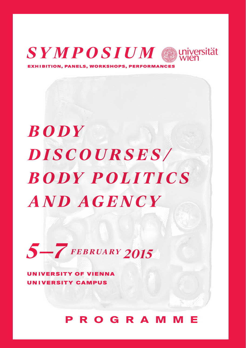

**PANELS, WORKSHOPS.** 

**BODY DISCOURSES/ BODY POLITICS AND AGENCY** 



**UNIVERSITY OF VIENNA UNIVERSITY CAMPUS** 

## **PROGRAMME**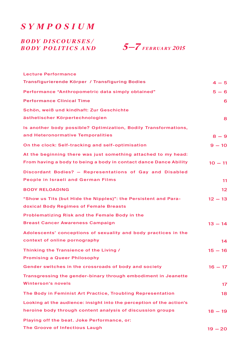*Sympo s ium*

## *B o dy D i s c our s e s / B o dy P olitic s and*

 *5—7 February 2015*

| <b>Lecture Performance</b>                                           |                   |
|----------------------------------------------------------------------|-------------------|
| Transfigurierende Körper / Transfiguring Bodies                      | $4 - 5$           |
| Performance "Anthropometric data simply obtained"                    | $5 - 6$           |
| <b>Performance Clinical Time</b>                                     | 6                 |
| Schön, weiß und kindhaft: Zur Geschichte                             |                   |
| ästhetischer Körpertechnologien                                      | 8                 |
| Is another body possible? Optimization, Bodily Transformations,      |                   |
| and Heteronormative Temporalities                                    | $8 - 9$           |
| On the clock: Self-tracking and self-optimisation                    | $9 - 10$          |
| At the beginning there was just something attached to my head:       |                   |
| From having a body to being a body in contact dance Dance Ability    | $10 - 11$         |
| Discordant Bodies? - Representations of Gay and Disabled             |                   |
| People in Israeli and German Films                                   | 11                |
| <b>BODY RELOADING</b>                                                | $12 \overline{ }$ |
| "Show us Tits (but Hide the Nipples)": the Persistent and Para-      | $12 - 13$         |
| doxical Body Regimes of Female Breasts                               |                   |
| Problematizing Risk and the Female Body in the                       |                   |
| <b>Breast Cancer Awareness Campaign</b>                              | $13 - 14$         |
| Adolescents' conceptions of sexuality and body practices in the      |                   |
| context of online pornography                                        | 14                |
| Thinking the Transience of the Living /                              | $15 - 16$         |
| <b>Promising a Queer Philosophy</b>                                  |                   |
| Gender switches in the crossroads of body and society                | $16 - 17$         |
| Transgressing the gender-binary through embodiment in Jeanette       |                   |
| <b>Winterson's novels</b>                                            | 17                |
| The Body in Feminist Art Practice, Troubling Representation          | 18                |
| Looking at the audience: insight into the perception of the action's |                   |
| heroine body through content analysis of discussion groups           | $18 - 19$         |
| Playing off the beat. Joke Performance, or:                          |                   |
| The Groove of Infectious Laugh                                       | $19 - 20$         |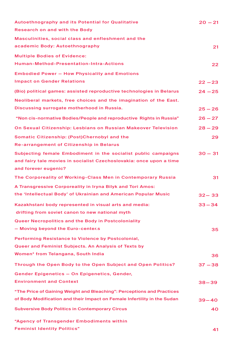| <b>Autoethnography and its Potential for Qualitative</b>                 | $20 - 21$ |
|--------------------------------------------------------------------------|-----------|
| <b>Research on and with the Body</b>                                     |           |
| Masculinities, social class and enfleshment and the                      |           |
| academic Body: Autoethnography                                           | 21        |
| <b>Multiple Bodies of Evidence:</b>                                      |           |
| Human-Method-Presentation-Intra-Actions                                  | 22        |
| <b>Embodied Power - How Physicality and Emotions</b>                     |           |
| <b>Impact on Gender Relations</b>                                        | $22 - 23$ |
| (Bio) political games: assisted reproductive technologies in Belarus     | $24 - 25$ |
| Neoliberal markets, free choices and the imagination of the East.        |           |
| Discussing surrogate motherhood in Russia.                               | $25 - 26$ |
| "Non cis-normative Bodies/People and reproductive Rights in Russia"      | $26 - 27$ |
| On Sexual Citizenship: Lesbians on Russian Makeover Television           | $28 - 29$ |
| Somatic Citizenship: (Post)Chernobyl and the                             | 29        |
| Re-arrangement of Citizenship in Belarus                                 |           |
| Subjecting female Embodiment in the socialist public campaigns           | $30 - 31$ |
| and fairy tale movies in socialist Czechoslovakia: once upon a time      |           |
| and forever eugenic?                                                     |           |
| The Corporeality of Working-Class Men in Contemporary Russia             | 31        |
| A Transgressive Corporeality in Iryna Bilyk and Tori Amos:               |           |
| the 'Intellectual Body' of Ukrainian and American Popular Music          | $32 - 33$ |
| Kazakhstani body represented in visual arts and media:                   | $33 - 34$ |
| drifting from soviet canon to new national myth                          |           |
| <b>Queer Necropolitics and the Body in Postcoloniality</b>               |           |
| - Moving beyond the Euro-center.s                                        | 35        |
| Performing Resistance to Violence by Postcolonial,                       |           |
| Queer and Feminist Subjects. An Analysis of Texts by                     |           |
| Women* from Telangana, South India                                       | 36        |
| Through the Open Body to the Open Subject and Open Politics?             | $37 - 38$ |
| Gender Epigenetics - On Epigenetics, Gender,                             |           |
| <b>Environment and Context</b>                                           | 38–39     |
| "The Price of Gaining Weight and Bleaching": Perceptions and Practices   |           |
| of Body Modification and their Impact on Female Infertility in the Sudan | 39–40     |
| <b>Subversive Body Politics in Contemporary Circus</b>                   | 40        |
| "Agency of Transgender Embodiments within                                |           |
| <b>Feminist Identity Politics"</b>                                       | 41        |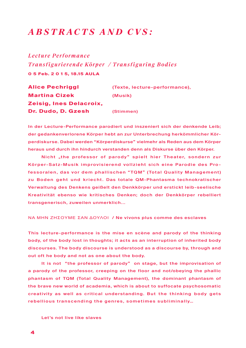## *A b s trac t s and C V s :*

*Lecture Performance Transfigurierende Körper / Transfiguring Bodies* **0 5 Feb. 2 0 1 5, 18.15 AULA**

| <b>Alice Pechriggl</b>  | (Texte, lecture-performance), |
|-------------------------|-------------------------------|
| <b>Martina Cizek</b>    | (Musik)                       |
| Zeisig, Ines Delacroix, |                               |
| Dr. Dudo, D. Gzesh      | (Stimmen)                     |

In der Lecture-Performance parodiert und inszeniert sich der denkende Leib; der gedankenverlorene Körper hebt an zur Unterbrechung herkömmlicher Körperdiskurse. Dabei werden "Körperdiskurse" vielmehr als Reden aus dem Körper heraus und durch ihn hindurch verstanden denn als Diskurse über den Körper.

Nicht "the professor of parody" spielt hier Theater, sondern zur Körper-Satz-Musik improvisierend vollzieht sich eine Parodie des Professoralen, das vor dem phallischen "TQM" (Total Quality Management) zu Boden geht und kriecht. Das totale QM-Phantasma technokratischer Verwaltung des Denkens geißelt den Denkkörper und erstickt leib-seelische Kreativität ebenso wie kritisches Denken; doch der Denkkörper rebelliert transgenerisch, zuweilen unmerklich...

ΝΑ ΜΗΝ ΖΗΣOΥΜΕ ΣΑΝ ΔΟΥΛΟΙ / Ne vivons plus comme des esclaves

This lecture-performance is the mise en scène and parody of the thinking body, of the body lost in thoughts; it acts as an interruption of inherited body discourses. The body discourse is understood as a discourse by, through and out oft he body and not as one about the body.

It is not "the professor of parody" on stage, but the improvisation of a parody of the professor, creeping on the floor and not/obeying the phallic phantasm of TQM (Total Quality Management), the dominant phantasm of the brave new world of academia, which is about to suffocate psychosomatic creativity as well as critical understanding. But the thinking body gets rebellious transcending the genres, sometimes subliminally…

Let's not live like slaves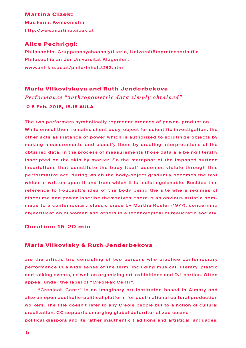### **Martina Cizek:**

Musikerin, Komponistin http://www.martina.cizek.at

### **Alice Pechriggl:**

Philosophin, Gruppenpsychoanalytikerin, Universitätsprofessorin für Philosophie an der Universität Klagenfurt www.uni-klu.ac.at/philo/inhalt/282.htm

## **Maria Vilkoviskaya and Ruth Jenderbekova** *Performance "Anthropometric data simply obtained"* **0 5 Feb. 2015, 18.15 AULA**

The two performers symbolically represent process of power- production. While one of them remains silent body-object for scientific investigation, the other acts as instance of power which is authorized to scrutinize objects by making measurements and classify them by creating interpretations of the obtained data. In the process of measurements those data are being literally inscripted on the skin by marker. So the metaphor of the imposed surface inscriptions that constitute the body itself becomes visible through this performative act, during which the body-object gradually becomes the text which is written upon it and from which it is indistinguishable. Besides this reference to Foucault's idea of the body being the site where regimes of discourse and power inscribe themselves, there is an obvious artistic hommage to a contemporary classic piece by Martha Rosler (1977), concerning objectification of women and others in a technological bureaucratic society.

### **Duration: 15-20 min**

### **Maria Vilkovisky & Ruth Jenderbekova**

are the artistic trio consisting of two persons who practice contemporary performance in a wide sense of the term, including musical, literary, plastic and talking events, as well as organizing art-exhibitions and DJ-parties. Often appear under the label of "Creoleak Centr".

"Creoleak Centr" is an imaginary art-institution based in Almaty and also an open aesthetic-political platform for post-national cultural production workers. The title doesn't refer to any Creole people but to a notion of cultural creolization. CC supports emerging global deterritorialized cosmo-

political diaspora and its rather inauthentic traditions and artistical languages.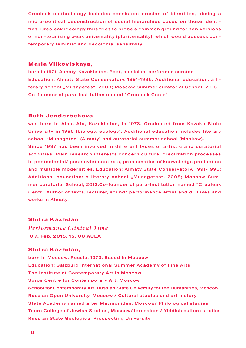Creoleak methodology includes consistent erosion of identities, aiming a micro-political deconstruction of social hierarchies based on those identities. Creoleak ideology thus tries to probe a common ground for new versions of non-totalizing weak universality (pluriversality), which would possess contemporary feminist and decolonial sensitivity.

### **Maria Vilkoviskaya,**

born in 1971, Almaty, Kazakhstan. Poet, musician, performer, curator. Education: Almaty State Conservatory, 1991-1996; Additional education: a literary school "Musagetes", 2008; Moscow Summer curatorial School, 2013. Co-founder of para-institution named "Creoleak Centr"

### **Ruth Jenderbekova**

was born in Alma-Ata, Kazakhstan, in 1973. Graduated from Kazakh State University in 1995 (biology, ecology). Additional education includes literary school "Musagetes" (Almaty) and curatorial summer school (Moskow). Since 1997 has been involved in different types of artistic and curatorial

activities. Main research interests concern cultural creolization processes in postcolonial/ postsoviet contexts, problematics of knoweledge production and multiple modernities. Education: Almaty State Conservatory, 1991-1996; Additional education: a literary school "Musagetes", 2008; Moscow Summer curatorial School, 2013.Co-founder of para-institution named "Creoleak Centr" Author of texts, lecturer, sound/ performance artist and dj. Lives and works in Almaty.

### **Shifra Kazhdan**

*Performance Clinical Time* **0 7. Feb. 2015, 15. 00 AULA**

### **Shifra Kazhdan,**

born in Moscow, Russia, 1973. Based in Moscow Education: Salzburg International Summer Academy of Fine Arts The Institute of Contemporary Art in Moscow Soros Centre for Contemporary Art, Moscow School for Contemporary Art, Russian State University for the Humanities, Moscow Russian Open University, Moscow / Cultural studies and art history State Academy named after Maymonides, Moscow/ Philological studies Touro College of Jewish Studies, Moscow/Jerusalem / Yiddish culture studies Russian State Geological Prospecting University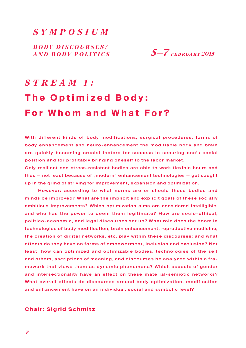## *Sympo s ium*

*B o dy D i s c our s e s / and B o dy P olitic s*



# *Stream 1:* **The Optimized Body: For Whom and What For?**

With different kinds of body modifications, surgical procedures, forms of body enhancement and neuro-enhancement the modifiable body and brain are quickly becoming crucial factors for success in securing one's social position and for profitably bringing oneself to the labor market.

Only resilient and stress-resistant bodies are able to work flexible hours and thus – not least because of "modern" enhancement technologies – get caught up in the grind of striving for improvement, expansion and optimization.

However: according to what norms are or should these bodies and minds be improved? What are the implicit and explicit goals of these socially ambitious improvements? Which optimization aims are considered intelligible, and who has the power to deem them legitimate? How are socio-ethical, politico-economic, and legal discourses set up? What role does the boom in technologies of body modification, brain enhancement, reproductive medicine, the creation of digital networks, etc. play within these discourses; and what effects do they have on forms of empowerment, inclusion and exclusion? Not least, how can optimized and optimizable bodies, technologies of the self and others, ascriptions of meaning, and discourses be analyzed within a framework that views them as dynamic phenomena? Which aspects of gender and intersectionality have an effect on these material-semiotic networks? What overall effects do discourses around body optimization, modification and enhancement have on an individual, social and symbolic level?

### **Chair: Sigrid Schmitz**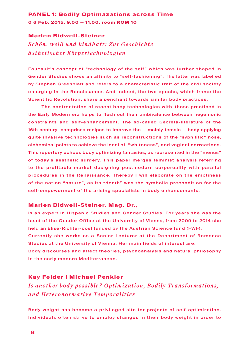### **PANEL 1: Bodily Optimazations across Time 0 6 Feb. 2015, 9.00 — 11.00, room ROM 10**

### **Marlen Bidwell-Steiner**

*Schön, weiß und kindhaft: Zur Geschichte ästhetischer Körpertechnologien*

Foucault's concept of "technology of the self" which was further shaped in Gender Studies shows an affinity to "self-fashioning". The latter was labelled by Stephen Greenblatt and refers to a characteristic trait of the civil society emerging in the Renaissance. And indeed, the two epochs, which frame the Scientific Revolution, share a penchant towards similar body practices.

The confrontation of recent body technologies with those practiced in the Early Modern era helps to flesh out their ambivalence between hegemonic constraints and self-enhancement. The so-called Secreta-literature of the 16th century comprises recipes to improve the — mainly female — body applying quite invasive technologies such as reconstructions of the "syphilitic" nose, alchemical paints to achieve the ideal of "whiteness", and vaginal corrections. This repertory echoes body optimizing fantasies, as represented in the "menus" of today's aesthetic surgery. This paper merges feminist analysis referring to the profitable market designing postmodern corporeality with parallel procedures in the Renaissance. Thereby I will elaborate on the emptiness of the notion "nature", as its "death" was the symbolic precondition for the self-empowerment of the arising specialists in body enhancements.

### **Marlen Bidwell-Steiner, Mag. Dr.,**

is an expert in Hispanic Studies and Gender Studies. For years she was the head of the Gender Office at the University of Vienna, from 2009 to 2014 she held an Elise-Richter-post funded by the Austrian Science fund (FWF). Currently she works as a Senior Lecturer at the Department of Romance Studies at the University of Vienna. Her main fields of interest are: Body discourses and affect theories, psychoanalysis and natural philosophy in the early modern Mediterranean.

### **Kay Felder | Michael Penkler**

*Is another body possible? Optimization, Bodily Transformations, and Heteronormative Temporalities*

Body weight has become a privileged site for projects of self-optimization. Individuals often strive to employ changes in their body weight in order to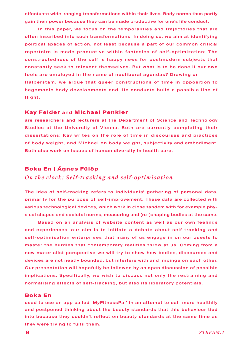effectuate wide-ranging transformations within their lives. Body norms thus partly gain their power because they can be made productive for one's life conduct.

In this paper, we focus on the temporalities and trajectories that are often inscribed into such transformations. In doing so, we aim at identifying political spaces of action, not least because a part of our common critical repertoire is made productive within fantasies of self-optimization: The constructedness of the self is happy news for postmodern subjects that constantly seek to reinvent themselves. But what is to be done if our own tools are employed in the name of neoliberal agendas? Drawing on Halberstam, we argue that queer constructions of time in opposition to hegemonic body developments and life conducts build a possible line of flight.

### **Kay Felder** and **Michael Penkler**

are researchers and lecturers at the Department of Science and Technology Studies at the University of Vienna. Both are currently completing their dissertations: Kay writes on the role of time in discourses and practices of body weight, and Michael on body weight, subjectivity and embodiment. Both also work on issues of human diversity in health care.

### **Boka En | Ágnes Fülöp**

### *On the clock: Self-tracking and self-optimisation*

The idea of self-tracking refers to individuals' gathering of personal data, primarily for the purpose of self-improvement. These data are collected with various technological devices, which work in close tandem with for example physical shapes and societal norms, measuring and (re-)shaping bodies at the same.

Based on an analysis of website content as well as our own feelings and experiences, our aim is to initiate a debate about self-tracking and self- optimisation enterprises that many of us engage in on our quests to master the hurdles that contemporary realities throw at us. Coming from a new materialist perspective we will try to show how bodies, discourses and devices are not neatly bounded, but interfere with and impinge on each other. Our presentation will hopefully be followed by an open discussion of possible implications. Specifically, we wish to discuss not only the restraining and normalising effects of self-tracking, but also its liberatory potentials.

### **Boka En**

used to use an app called 'MyFitnessPal' in an attempt to eat more healthily and postponed thinking about the beauty standards that this behaviour tied into because they couldn't reflect on beauty standards at the same time as they were trying to fulfil them.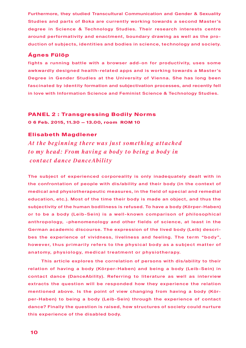Furthermore, they studied Transcultural Communication and Gender & Sexuality Studies and parts of Boka are currently working towards a second Master's degree in Science & Technology Studies. Their research interests centre around performativity and enactment, boundary drawing as well as the production of subjects, identities and bodies in science, technology and society.

### **Ágnes Fülöp**

fights a running battle with a browser add-on for productivity, uses some awkwardly designed health-related apps and is working towards a Master 's Degree in Gender Studies at the University of Vienna. She has long been fascinated by identity formation and subjectivation processes, and recently fell in love with Information Science and Feminist Science & Technology Studies.

### **PANEL 2 : Transgressing Bodily Norms**

**0 6 Feb. 2015, 11.30 — 13.00, room ROM 10**

### **Elisabeth Magdlener**

*At the b eginning there was just something attached to my head: From having a body to being a body in contact dance DanceAbility*

The subject of experienced corporeality is only inadequately dealt with in the confrontation of people with dis/ability and their body (in the context of medical and physiotherapeutic measures, in the field of special and remedial education, etc.). Most of the time their body is made an object, and thus the subjectivity of the human bodiliness is refused. To have a body (Körper-Haben) or to be a body (Leib-Sein) is a well-known comparison of philosophical anthropology, -phenomenology and other fields of science, at least in the German academic discourse. The expression of the lived body (Leib) describes the experience of vividness, liveliness and feeling. The term "body", however, thus primarily refers to the physical body as a subject matter of anatomy, physiology, medical treatment or physiotherapy.

This article explores the correlation of persons with dis/ability to their relation of having a body (Körper-Haben) and being a body (Leib-Sein) in contact dance (DanceAbility). Referring to literature as well as interview extracts the question will be responded how they experience the relation mentioned above. Is the point of view changing from having a body (Körper-Haben) to being a body (Leib-Sein) through the experience of contact dance? Finally the question is raised, how structures of society could nurture this experience of the disabled body.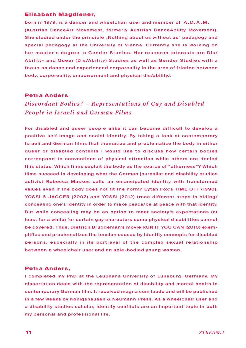### **Elisabeth Magdlener,**

born in 1979, is a dancer and wheelchair user and member of A . D. A . M . (Austrian DanceArt Movement, formerly Austrian DanceAbility Movement). She studied under the principle "Nothing about us without us" pedagogy and special pedagogy at the University of Vienna. Currently she is working on her master's degree in Gender Studies. Her research interests are Dis/ Ability- and Queer (Dis/Ability) Studies as well as Gender Studies with a fo cus on dance and experienced corporeality in the area of friction between body, corporeality, empowerment and physical dis/ability.t

### **Petra Anders**

## *Discordant Bodies? – Representations of Gav and Disabled People in Israeli and German Films*

For disabled and queer people alike it can become difficult to develop a positive self-image and social identity. By taking a look at contemporary Israeli and German films that thematize and problematize the body in either queer or disabled contexts I would like to discuss how certain bodies correspond to conventions of physical attraction while others are denied this status. Which films exploit the body as the source of "otherness"? Which films succeed in developing what the German journalist and disability studies activist Rebecca Maskos calls an emancipated identity with transformed values even if the body does not fit the norm? Eytan Fox's TIME OFF (1990), YOSSI & JAGGER (2002) and YOSSI (2012) trace different steps in hiding/ concealing one's identity in order to make peace/be at peace with that identity. But while concealing may be an option to meet society's expectations (at least for a while) for certain gay characters some physical disabilities cannot be covered. Thus, Dietrich Brüggeman's movie RUN IF YOU CAN (2010) exemplifies and problematizes the tension caused by identity concepts for disabled persons, especially in its portrayal of the complex sexual relationship between a wheelchair user and an able-bodied young woman.

### **Petra Anders,**

I completed my PhD at the Leuphana University of Lüneburg, Germany. My dissertation deals with the representation of disability and mental health in contemporary German film. It received magna cum laude and will be published in a few weeks by Königshausen & Neumann Press. As a wheelchair user and a disability studies scholar, identity conflicts are an important topic in both my personal and professional life.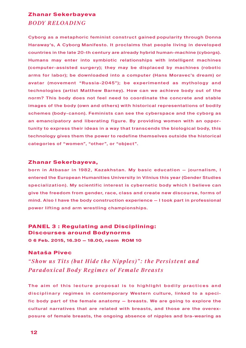### **Zhanar Sekerbayeva**

## *B ODY RELOADING*

Cyborg as a metaphoric feminist construct gained popularity through Donna Haraway's, A Cyborg Manifesto. It proclaims that people living in developed countries in the late 20-th century are already hybrid human-machine (cyborgs). Humans may enter into symbiotic relationships with intelligent machines (computer-assisted surgery); they may be displaced by machines (robotic arms for labor); be downloaded into a computer (Hans Moravec's dream) or avatar (movement "Russia-2045"); be experimented as mythology and technologies (artist Matthew Barney). How can we achieve body out of the norm? This body does not feel need to coordinate the concrete and stable images of the body (own and others) with historical representations of bodily schemes (body-canon). Feminists can see the cyberspace and the cyborg as an emancipatory and liberating figure. By providing women with an opportunity to express their ideas in a way that transcends the biological body, this technology gives them the power to redefine themselves outside the historical categories of "women", "other", or "object".

### **Zhanar Sekerbayeva,**

born in Atbasar in 1982 , Kazakhstan. My basic education — journalism, I entered the European Humanities University in Vilnius this year (Gender Studies specialization). My scientific interest is cybernetic body which I believe can give the freedom from gender, race, class and create new discourse, forms of mind. Also I have the body construction experience — I took part in professional power lifting and arm wrestling championships.

## **PANEL 3 : Regulating and Disciplining: Discourses around Bodynorms 0 6 Feb. 2015, 16.30 — 18.00, room ROM 10**

### **Nataša Pivec**

*"Show us Tits (but Hide the Nipples)": the Persistent and Paradoxical Body Regimes of Female Breasts*

The aim of this lecture proposal is to highlight bodily practices and disciplinary regimes in contemporary Western culture, linked to a specific body part of the female anatomy — breasts. We are going to explore the cultural narratives that are related with breasts, and those are the overexposure of female breasts, the ongoing absence of nipples and bra-wearing as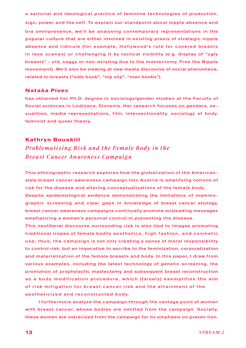a sartorial and ideological practice of feminine technologies of production, sign, power and the self. To explain our standpoint about nipple absence and bra omnipresence, we'll be analysing contemporary representations in the popular culture that are either involved in existing praxis of strategic nipple absence and ridicule (for example, Hollywood's rule for covered breasts in love scenes) or challenging it by tactical visibility (e.g. display of "ugly breasts" - old, saggy or non-existing due to the mastectomy, Free the Nipple movement). We'll also be viewing at new media discourse of social phenomena, related to breasts ("side boob", "nip slip", "man boobs").

### **Nataša Pivec**

has obtained her Ph.D. degree in sociology/gender studies at the Faculty of Social sciences in Ljubljana, Slovenia. Her research focuses on genders, sexualities, media representations, film, intersectionality, sociology of body, feminist and queer theory.

### **Kathryn Bouskill**

*Problematizing Risk and the Female Body in the Breast Cancer Awareness Campaign*

This ethnographic research explores how the globalization of the Americanstyle breast cancer awareness campaign into Austria is amplifying notions of risk for the disease and altering conceptualizations of the female body. Despite epidemiological evidence demonstrating the limitations of mammographic screening and clear gaps in knowledge of breast cancer etiology, breast cancer awareness campaigns continually promote misleading messages

emphasizing a woman's personal control in preventing the disease.

This neoliberal discourse surrounding risk is also tied to images promoting traditional tropes of female bodily aesthetics, high fashion, and cosmetic use; thus, the campaign is not only creating a sense of moral responsibility to control risk, but an imperative to ascribe to the feminization, corporatization and materialization of the female breasts and body. In this paper, I draw from various examples, including the latest technology of genetic screening, the promotion of prophylactic mastectomy and subsequent breast reconstruction as a body modification procedure, which (falsely) exemplifies the aim of risk mitigation for breast cancer risk and the attainment of the aestheticized and reconstructed body.

I furthermore analyze the campaign through the vantage point of women with breast cancer, whose bodies are omitted from the campaign. Socially, these women are ostracized from the campaign for its emphasis on preven tion.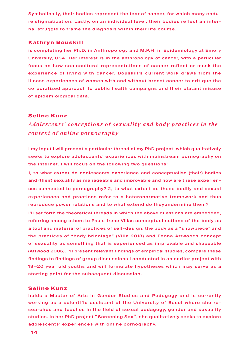Symbolically, their bodies represent the fear of cancer, for which many endure stigmatization. Lastly, on an individual level, their bodies reflect an internal struggle to frame the diagnosis within their life course.

### **Kathryn Bouskill**

is completing her Ph.D. in Anthropology and M.P.H. in Epidemiology at Emory University, USA. Her interest is in the anthropology of cancer, with a particular focus on how sociocultural representations of cancer reflect or mask the experience of living with cancer. Bouskill's current work draws from the illness experiences of women with and without breast cancer to critique the corporatized approach to public health campaigns and their blatant misuse of epidemiological data.

### **Seline Kunz**

*Adolescents' concep tions of sexuality and b o dy practices in the context of online pornography* 

I my input I will present a particular thread of my PhD project, which qualitatively seeks to explore adolescents' experiences with mainstream pornography on the internet. I will focus on the following two questions:

1, to what extent do adolescents experience and conceptualise (their) bodies and (their) sexuality as manageable and improvable and how are these experiences connected to pornography? 2, to what extent do these bodily and sexual experiences and practices refer to a heteronormative framework and thus reproduce power relations and to what extend do theyundermine them?

I'll set forth the theoretical threads in which the above questions are embedded, referring among others to Paula-Irene Villas conceptualisations of the body as a tool and material of practices of self-design, the body as a "showpiece" and the practices of "body bricolage" (Villa 2013) and Feona Attwoods concept of sexuality as something that is experienced as improvable and shapeable (Attwood 2006). I'll present relevant findings of empirical studies, compare these findings to findings of group discussions I conducted in an earlier project with 18—20 year old youths and will formulate hypotheses which may serve as a starting point for the subsequent discussion.

### **Seline Kunz**

holds a Master of Arts in Gender Studies and Pedagogy and is currently working as a scientific assistant at the University of Basel where she researches and teaches in the field of sexual pedagogy, gender and sexuality studies. In her PhD project "Screening Sex", she qualitatively seeks to explore adolescents' experiences with online pornography.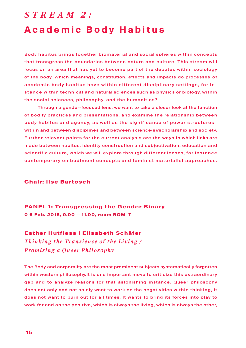## *S t r e a m 2 :*  **Academic Body Habitus**

Body habitus brings together biomaterial and social spheres within concepts that transgress the boundaries between nature and culture. This stream will focus on an area that has yet to become part of the debates within sociology of the body. Which meanings, constitution, effects and impacts do processes of academic body habitus have within different disciplinary settings, for instance within technical and natural sciences such as physics or biology, within the social sciences, philosophy, and the humanities?

Through a gender-focused lens, we want to take a closer look at the function of bodily practices and presentations, and examine the relationship between body habitus and agency, as well as the significance of power structures within and between disciplines and between science(s)/scholarship and society. Further relevant points for the current analysis are the ways in which links are made between habitus, identity construction and subjectivation, education and scientific culture, which we will explore through different lenses, for instance contemporary embodiment concepts and feminist materialist approaches.

### **Chair: Ilse Bartosch**

**PANEL 1: Transgressing the Gender Binary 0 6 Feb. 2015, 9.00 — 11.00, room ROM 7**

### **Esther Hutfless | Elisabeth Schäfer**

*Thinking the Transience of the Living / Promising a Queer Philosophy*

The Body and corporality are the most prominent subjects systematically forgotten within western philosophy.It is one important move to criticize this extraordinary gap and to analyze reasons for that astonishing instance. Queer philosophy does not only and not solely want to work on the negativities within thinking, it does not want to burn out for all times. It wants to bring its forces into play to work for and on the positive, which is always the living, which is always the other,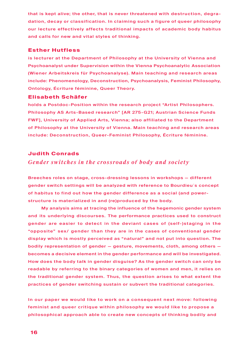that is kept alive; the other, that is never threatened with destruction, degradation, decay or classification. In claiming such a figure of queer philosophy our lecture effectively affects traditional impacts of academic body habitus and calls for new and vital styles of thinking.

### **Esther Hutfless**

is lecturer at the Department of Philosophy at the University of Vienna and Psychoanalyst under Supervision within the Vienna Psychoanalytic Association (Wiener Arbeitskreis für Psychoanalyse). Main teaching and research areas include: Phenomenology, Deconstruction, Psychoanalysis, Feminist Philosophy, Ontology, Écriture féminine, Queer Theory.

### **Elisabeth Schäfer**

holds a Postdoc-Position within the research project "Artist Philosophers. Philosophy AS Arts-Based research" [AR 275-G21; Austrian Science Funds FWF], University of Applied Arts, Vienna; also affiliated to the Department of Philosophy at the University of Vienna. Main teaching and research areas include: Deconstruction, Queer-Feminist Philosophy, Écriture féminine.

### **Judith Conrads**

## *Gender switches in the crossroads of body and society*

Breeches roles on stage, cross-dressing lessons in workshops — different gender switch settings will be analyzed with reference to Bourdieu´s concept of habitus to find out how the gender difference as a social (and powerstructure is materialized in and (re)produced by the body.

My analysis aims at tracing the influence of the hegemonic gender system and its underlying discourses. The performance practices used to construct gender are easier to detect in the deviant cases of (self-)staging in the "opposite" sex/ gender than they are in the cases of conventional gender display which is mostly perceived as "natural" and not put into question. The bodily representation of gender — gesture, movements, cloth, among others becomes a decisive element in the gender performance and will be investigated. How does the body talk in gender disguise? As the gender switch can only be readable by referring to the binary categories of women and men, it relies on the traditional gender system. Thus, the question arises to what extent the practices of gender switching sustain or subvert the traditional categories.

In our paper we would like to work on a consequent next move: following feminist and queer critique within philosophy we would like to propose a philosophical approach able to create new concepts of thinking bodily and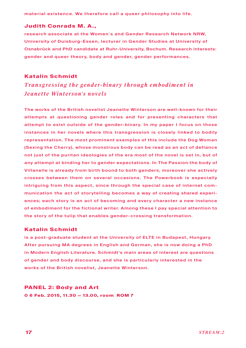material existence. We therefore call a queer philosophy into life.

### **Judith Conrads M. A.,**

research associate at the Women´s and Gender Research Network NRW, University of Duisburg-Essen, lecturer in Gender Studies at University of Osnabrück and PhD candidate at Ruhr-University, Bochum. Research interests: gender and queer theory, body and gender, gender performances.

### **Katalin Schmidt**

## *Transgressing the gender-binary through embodiment in Jeanette Winterson's novels*

The works of the British novelist Jeanette Winterson are well-known for their attempts at questioning gender roles and for presenting characters that attempt to exist outside of the gender-binary. In my paper I focus on those instances in her novels where this transgression is closely linked to bodily representation. The most prominent examples of this include the Dog Woman (Sexing the Cherry), whose monstrous body can be read as an act of defiance not just of the puritan ideologies of the era most of the novel is set in, but of any attempt at binding her to gender expectations. In The Passion the body of Villanelle is already from birth bound to both genders, moreover she actively crosses between them on several occasions. The Powerbook is especially intriguing from this aspect, since through the special case of internet communication the act of storytelling becomes a way of creating shared experiences; each story is an act of becoming and every character a new instance of embodiment for the fictional writer. Among these I pay special attention to the story of the tulip that enables gender-crossing transformation.

### **Katalin Schmidt**

is a post-graduate student at the University of ELTE in Budapest, Hungary. After pursuing MA degrees in English and German, she is now doing a PhD in Modern English Literature. Schmidt's main areas of interest are questions of gender and body discourse, and she is particularly interested in the works of the British novelist, Jeanette Winterson.

**PANEL 2: Body and Art 0 6 Feb. 2015, 11.30 — 13.00, room ROM 7**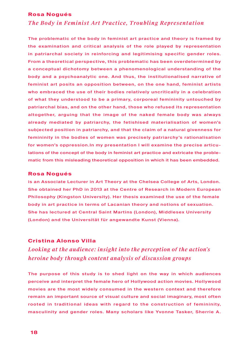### **Rosa Nogués**

## *The Body in Feminist Art Practice, Troubling Representation*

The problematic of the body in feminist art practice and theory is framed by the examination and critical analysis of the role played by representation in patriarchal society in reinforcing and legitimising specific gender roles. From a theoretical perspective, this problematic has been overdetermined by a conceptual dichotomy between a phenomenological understanding of the body and a psychoanalytic one. And thus, the institutionalised narrative of feminist art posits an opposition between, on the one hand, feminist artists who embraced the use of their bodies relatively uncritically in a celebration of what they understood to be a primary, corporeal femininity untouched by patriarchal bias, and on the other hand, those who refused its representation altogether, arguing that the image of the naked female body was always already mediated by patriarchy, the fetishised materialisation of women's subjected position in patriarchy, and that the claim of a natural givenness for femininity in the bodies of women was precisely patriarchy's rationalisation for women's oppression.In my presentation I will examine the precise articulations of the concept of the body in feminist art practice and extricate the problematic from this misleading theoretical opposition in which it has been embedded.

### **Rosa Nogués**

is an Associate Lecturer in Art Theory at the Chelsea College of Arts, London. She obtained her PhD in 2013 at the Centre of Research in Modern European Philosophy (Kingston University). Her thesis examined the use of the female body in art practice in terms of Lacanian theory and notions of sexuation. She has lectured at Central Saint Martins (London), Middlesex University (London) and the Universität für angewandte Kunst (Vienna).

### **Cristina Alonso Villa**

## *Looking at the audience: insight into the perception of the action's heroine body through content analysis of discussion groups*

The purpose of this study is to shed light on the way in which audiences perceive and interpret the female hero of Hollywood action movies. Hollywood movies are the most widely consumed in the western context and therefore remain an important source of visual culture and social imaginary, most often rooted in traditional ideas with regard to the construction of femininity, masculinity and gender roles. Many scholars like Yvonne Tasker, Sherrie A.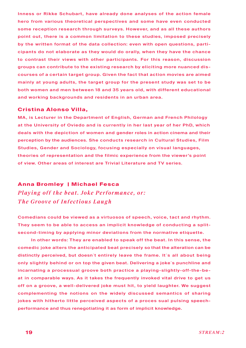Inness or Rikke Schubart, have already done analyses of the action female hero from various theoretical perspectives and some have even conducted some reception research through surveys. However, and as all these authors point out, there is a common limitation to these studies, imposed precisely by the written format of the data collection: even with open questions, participants do not elaborate as they would do orally, when they have the chance to contrast their views with other participants. For this reason, discussion groups can contribute to the existing research by eliciting more nuanced discourses of a certain target group. Given the fact that action movies are aimed mainly at young adults, the target group for the present study was set to be both women and men between 18 and 35 years old, with different educational and working backgrounds and residents in an urban area.

### **Cristina Alonso Villa,**

MA, is Lecturer in the Department of English, German and French Philology at the University of Oviedo and is currently in her last year of her PhD, which deals with the depiction of women and gender roles in action cinema and their perception by the audiences. She conducts research in Cultural Studies, Film Studies, Gender and Sociology, focusing especially on visual languages, theories of representation and the filmic experience from the viewer's point of view. Other areas of interest are Trivial Literature and TV series.

### **Anna Bromley | Michael Fesca**

*Playing off the beat. Joke Performance, or: The Groove of Infectious Laugh*

Comedians could be viewed as a virtuosos of speech, voice, tact and rhythm. They seem to be able to access an implicit knowledge of conducting a splitsecond-timing by applying minor deviations from the normative etiquette.

In other words: They are enabled to speak off the beat. In this sense, the comedic joke alters the anticipated beat precisely so that the alteration can be distinctly perceived, but doesn't entirely leave the frame. It's all about being only slightly behind or on top the given beat. Delivering a joke`s punchline and incarnating a processual groove both practice a playing-slightly-off-the-beat in comparable ways. As it takes the frequently invoked vital drive to get us off on a groove, a well-delivered joke must hit, to yield laughter. We suggest complementing the notions on the widely discussed semantics of sharing jokes with hitherto little perceived aspects of a proces sual pulsing speechperformance and thus renegotiating it as form of implicit knowledge.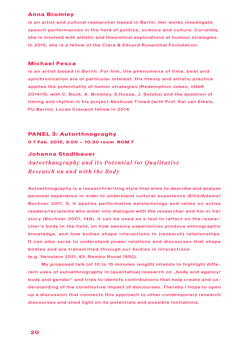### **Anna Bromley**

is an artist and cultural researcher based in Berlin. Her works investigate speech performances in the field of politics, science and culture. Currently, she is involved with artistic and theoretical explorations of humour strategies. In 2015, she is a fellow of the Clara & Eduard Rosenthal Foundation.

### **Michael Fesca**

is an artist based in Berlin. For him, the phenomena of time, beat and synchronization are of particular interest. His theory and artistic practice applies the potentiality of humor strategies (Redemption Jokes, nGbK 2014/15, with C. Buck, A. Bromley, S.Husse, J. Sotzko) and the question of timing and rhythm in his project Abstruse Timed (with Prof. Kai van Eikels, FU Berlin). Lucas Cranach fellow in 2014.

### **PANEL 3: Autorthnograghy**

**0 7 Feb. 2015, 9.00 — 10.30 room ROM 7**

### **Johanna Stadlbauer**

*Auto ethnography and its Po tential for Qualitative Research on and with the Body*

Autoethnography is a research/writing style that aims to describe and analyze personal experience in order to understand cultural experience (Ellis/Adams/ Bochner 2011, 1). It applies performative epistemology and relies on active readers/recipients who enter into dialogue with the researcher and his or her story (Bochner 2001, 148). It can be used as a tool to reflect on the researcher's body in the field, on how sensory experiences produce ethnographic knowledge, and how bodies shape interactions in (research) relationships. It can also serve to understand power relations and discourses that shape bodies and are transmitted through our bodies in interactions (e.g. Veissiere 2011, 43; Rambo Ronai 1992).

My proposed talk (of 10 to 15 minutes length) intends to highlight different uses of autoethnography in (qualitative) research on "body and agency/ body and gender" and tries to identify contributions that help create and understanding of the constitutive impact of discourses. Thereby I hope to open up a discussion that connects this approach to other contemporary research discourses and shed light on its potentials and possible limitations.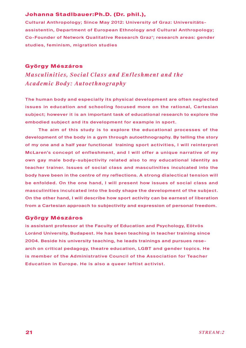### **Johanna Stadlbauer:Ph.D. (Dr. phil.),**

Cultural Anthropology; Since May 2012: University of Graz: Universitätsassistentin, Department of European Ethnology and Cultural Anthropology; Co-Founder of Network Qualitative Research Graz'; research areas: gender studies, feminism, migration studies

### **György Mészáros**

*Masculinities, So cial Class and Enfleshment and the Academic Body: Autoethnography*

The human body and especially its physical development are often neglected issues in education and schooling focused more on the rational, Cartesian subject; however it is an important task of educational research to explore the embodied subject and its development for example in sport.

The aim of this study is to explore the educational processes of the development of the body in a gym through autoethnography. By telling the story of my one and a half year functional training sport activities, I will reinterpret McLaren's concept of enfleshment, and I will offer a unique narrative of my own gay male body-subjectivity related also to my educational identity as teacher trainer. Issues of social class and masculinities inculcated into the body have been in the centre of my reflections. A strong dialectical tension will be enfolded. On the one hand, I will present how issues of social class and masculinities inculcated into the body shape the development of the subject. On the other hand, I will describe how sport activity can be earnest of liberation from a Cartesian approach to subjectivity and expression of personal freedom.

### **György Mészáros**

is assistant professor at the Faculty of Education and Psychology, Eötvös Loránd University, Budapest. He has been teaching in teacher training since 2004. Beside his university teaching, he leads trainings and pursues research on critical pedagogy, theatre education, LGBT and gender topics. He is member of the Administrative Council of the Association for Teacher Education in Europe. He is also a queer leftist activist.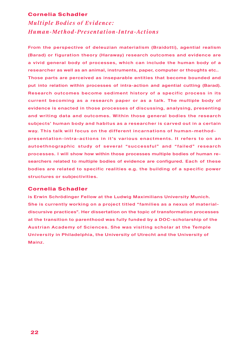### **Cornelia Schadler**

*Multiple B o dies of Evidence: Human-Method-Presentation-Intra-Actions*

From the perspective of deleuzian materialism (Braidotti), agential realism (Barad) or figuration theory (Haraway) research outcomes and evidence are a vivid general body of processes, which can include the human body of a researcher as well as an animal, instruments, paper, computer or thoughts etc.. Those parts are perceived as inseparable entities that become bounded and put into relation within processes of intra-action and agential cutting (Barad). Research outcomes become sediment history of a specific process in its current becoming as a research paper or as a talk. The multiple body of evidence is enacted in those processes of discussing, analysing, presenting and writing data and outcomes. Within those general bodies the research subjects' human body and habitus as a researcher is carved out in a certain way. This talk will focus on the different incarnations of human-method-

presentation-intra-actions in it 's various enactments. It refers to on an autoethnographic study of several "successful" and " failed" research processes. I will show how within those processes multiple bodies of human researchers related to multiple bodies of evidence are configured. Each of these bodies are related to specific realities e.g. the building of a specific power structures or subjectivities.

### **Cornelia Schadler**

is Erwin Schrödinger Fellow at the Ludwig Maximilians University Munich. She is currently working on a project titled "families as a nexus of materialdiscursive practices". Her dissertation on the topic of transformation processes at the transition to parenthood was fully funded by a DOC-scholarship of the Austrian Academy of Sciences. She was visiting scholar at the Temple University in Philadelphia, the University of Utrecht and the University of Mainz.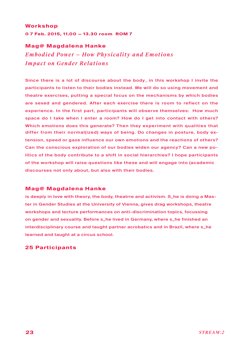### **Workshop**

**0 7 Feb. 2015, 11.00 — 13.30 room ROM 7**

### **Mag@ Magdalena Hanke**

*Emb o died Power — How Physicality and Emo tions Impact on Gender Relations* 

Since there is a lot of discourse about the body , in this workshop I invite the participants to listen to their bodies instead. We will do so using movement and theatre exercises, putting a special focus on the mechanisms by which bodies are sexed and gendered. After each exercise there is room to reflect on the experience. In the first part, participants will observe themselves: How much space do I take when I enter a room? How do I get into contact with others? Which emotions does this generate? Then they experiment with qualities that differ from their normal(ized) ways of being. Do changes in posture, body extension, speed or gaze influence our own emotions and the reactions of others? Can the conscious exploration of our bodies widen our agency? Can a new politics of the body contribute to a shift in social hierarchies? I hope participants of the workshop will raise questions like these and will engage into (academic discourses not only about, but also with their bodies.

### **Mag@ Magdalena Hanke**

is deeply in love with theory, the body, theatrre and activism. S\_he is doing a Master in Gender Studies at the University of Vienna, gives drag workshops, theatre workshops and lecture performances on anti-discrimination topics, focussing on gender and sexuality. Before s\_he lived in Germany, where s\_he finished an interdisciplinary course and taught partner acrobatics and in Brazil, where s\_he learned and taught at a circus school.

### **25 Participants**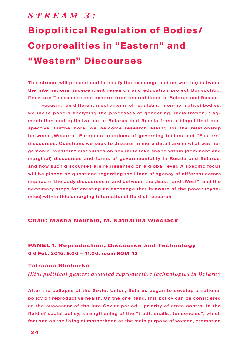# *S t r e a m 3 :*  **Biopolitical Regulation of Bodies/ Corporealities in "Eastern" and " Western" Discourses**

This stream will present and intensify the exchange and networking between the international independent research and education project Bodypolitix: Политики Телесности and experts from related fields in Belarus and Russia.

Focusing on different mechanisms of regulating (non-normative) bodies, we invite papers analyzing the processes of gendering, racialization, fragmentation and optimization in Belarus and Russia from a biopolitical perspective. Furthermore, we welcome research asking for the relationship between "Western" European practices of governing bodies and "Eastern" discourses. Questions we seek to discuss in more detail are in what way hegemonic "Western" discourses on sexuality take shape within (dominant and marginal) discourses and forms of governmentality in Russia and Belarus, and how such discourses are represented on a global level. A specific focus will be placed on questions regarding the kinds of agency of different actors implied in the body discourses in and between the "East" and "West", and the necessary steps for creating an exchange that is aware of the power (dynamics) within this emerging international field of research

### **Chair: Masha Neufeld, M. Katharina Wiedlack**

## **PANEL 1: Reproduction, Discourse and Technology 0 6 Feb. 2015, 9.00 — 11.00, room ROM 12**

## **Tatsiana Shchurko** *(Bio) political games: assisted reproductive technologies in Belarus*

After the collapse of the Soviet Union, Belarus began to develop a national policy on reproductive health. On the one hand, this policy can be considered as the successor of the late Soviet period - priority of state control in the field of social policy, strengthening of the "traditionalist tendencies", which focused on the fixing of motherhood as the main purpose of women, promotion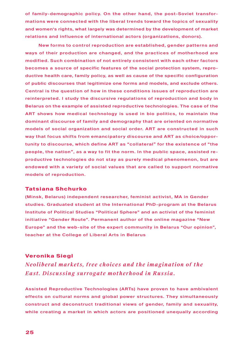of family-demographic policy. On the other hand, the post-Soviet transformations were connected with the liberal trends toward the topics of sexuality and women's rights, what largely was determined by the development of market relations and influence of international actors (organizations, donors).

New forms to control reproduction are established, gender patterns and ways of their production are changed, and the practices of motherhood are modified. Such combination of not entirely consistent with each other factors becomes a source of specific features of the social protection system, reproductive health care, family policy, as well as cause of the specific configuration of public discourses that legitimize one forms and models, and exclude others. Central is the question of how in these conditions issues of reproduction are reinterpreted. I study the discursive regulations of reproduction and body in Belarus on the example of assisted reproductive technologies. The case of the ART shows how medical technology is used in bio politics, to maintain the dominant discourse of family and demography that are oriented on normative models of social organization and social order. ART are constructed in such way that focus shifts from emancipatory discourse and ART as choice/opportunity to discourse, which define ART as "collateral" for the existence of "the people, the nation", as a way to fit the norm. In the public space, assisted reproductive technologies do not stay as purely medical phenomenon, but are endowed with a variety of social values that are called to support normative models of reproduction.

### **Tatsiana Shchurko**

(Minsk, Belarus) independent researcher, feminist activist, MA in Gender studies. Graduated student at the International PhD-program at the Belarus Institute of Political Studies "Political Sphere" and an activist of the feminist initiative "Gender Route". Permanent author of the online magazine "New Europe" and the web-site of the expert community in Belarus "Our opinion", teacher at the College of Liberal Arts in Belarus

### **Veronika Siegl**

*Neolib eral markets, free choices and the imagination of the East. Discussing surrogate motherhood in Russia.*

Assisted Reproductive Technologies (ARTs) have proven to have ambivalent effects on cultural norms and global power structures. They simultaneously construct and deconstruct traditional views of gender, family and sexuality, while creating a market in which actors are positioned unequally according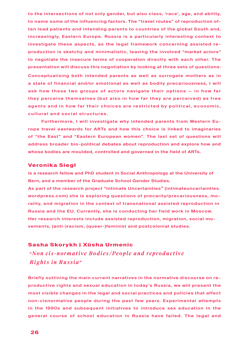to the intersections of not only gender, but also class, 'race', age, and ability, to name some of the influencing factors. The "travel routes" of reproduction often lead patients and intending parents to countries of the global South and, increasingly, Eastern Europe. Russia is a particularly interesting context to investigate these aspects, as the legal framework concerning assisted reproduction is sketchy and minimalistic, leaving the involved "market actors" to negotiate the insecure terms of cooperation directly with each other. The presentation will discuss this negotiation by looking at three sets of questions: Conceptualising both intended parents as well as surrogate mothers as in a state of financial and/or emotional as well as bodily precariousness, I will ask how these two groups of actors navigate their options — in how far they perceive themselves (but also in how far they are perceived) as free agents and in how far their choices are restricted by political, economic, cultural and social structures.

Furthermore, I will investigate why intended parents from Western Europe travel eastwards for ARTs and how this choice is linked to imaginaries of "the East" and "Eastern European women". The last set of questions will address broader bio-political debates about reproduction and explore how and whose bodies are moulded, controlled and governed in the field of ARTs.

### **Veronika Siegl**

is a research fellow and PhD student in Social Anthropology at the University of Bern, and a member of the Graduate School Gender Studies.

As part of the research project "Intimate Uncertainties" (intimateuncertainties. wordpress.com) she is exploring questions of precarity/precariousness, morality, and migration in the context of transnational assisted reproduction in Russia and the EU. Currently, she is conducting her field work in Moscow. Her research interests include assisted reproduction, migration, social movements, (anti-)racism, (queer-)feminist and postcolonial studies.

### **Sasha Skorykh | Xüsha Urmenic**

 "*Non cis -normative B o dies /People and repro ductive Rights in Russia*"

Briefly outlining the main current narratives in the normative discourse on reproductive rights and sexual education in today's Russia, we will present the most visible changes in the legal and social practices and policies that affect non-cisnormative people during the past few years. Experimental attempts in the 1990s and subsequent initiatives to introduce sex education in the general course of school education in Russia have failed. The legal and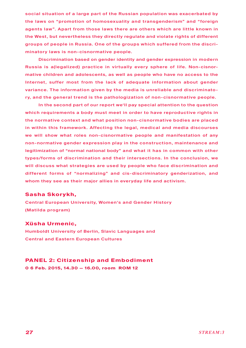social situation of a large part of the Russian population was exacerbated by the laws on "promotion of homosexuality and transgenderism" and "foreign agents law". Apart from those laws there are others which are little known in the West, but nevertheless they directly regulate and violate rights of different groups of people in Russia. One of the groups which suffered from the discriminatory laws is non-cisnormative people.

Discrimination based on gender identity and gender expression in modern Russia is a(legalized) practice in virtually every sphere of life. Non-cisnormative children and adolescents, as well as people who have no access to the Internet, suffer most from the lack of adequate information about gender variance. The information given by the media is unreliable and discriminatory, and the general trend is the pathologization of non-cisnormative people.

In the second part of our report we'll pay special attention to the question which requirements a body must meet in order to have reproductive rights in the normative context and what position non-cisnormative bodies are placed in within this framework. Affecting the legal, medical and media discourses we will show what roles non-cisnormative people and manifestation of any non-normative gender expression play in the construction, maintenance and legitimization of "normal national body" and what it has in common with other types/forms of discrimination and their intersections. In the conclusion, we will discuss what strategies are used by people who face discrimination and different forms of "normalizing" and cis-discriminatory genderization, and whom they see as their major allies in everyday life and activism.

### **Sasha Skorykh,**

Central European University, Women's and Gender History (Matilda program)

### **Xüsha Urmenic,**

Humboldt University of Berlin, Slavic Languages and Central and Eastern European Cultures

## **PANEL 2: Citizenship and Embodiment**

**0 6 Feb. 2015, 14.30 — 16.00, room ROM 12**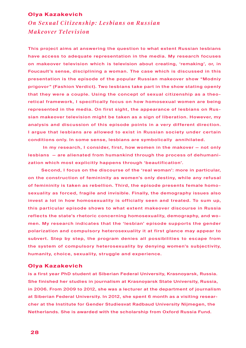### **Olya Kazakevich**

*O n Sexual Citizenship: L esbians on Russian Makeover Television*

This project aims at answering the question to what extent Russian lesbians have access to adequate representation in the media. My research focuses on makeover television which is television about creating, 'remaking', or, in Foucault's sense, disciplining a woman. The case which is discussed in this presentation is the episode of the popular Russian makeover show "Modniy prigovor" (Fashion Verdict). Two lesbians take part in the show stating openly that they were a couple. Using the concept of sexual citizenship as a theoretical framework, I specifically focus on how homosexual women are being represented in the media. On first sight, the appearance of lesbians on Russian makeover television might be taken as a sign of liberation. However, my analysis and discussion of this episode points in a very different direction. I argue that lesbians are allowed to exist in Russian society under certain conditions only. In some sense, lesbians are symbolically annihilated.

 In my research, I consider, first, how women in the makover — not only lesbians — are alienated from humankind through the process of dehumanization which most explicitly happens through 'beautification'.

Second, I focus on the discourse of the 'real woman': more in particular, on the construction of femininity as women's only destiny, while any refusal of femininity is taken as rebellion. Third, the episode presents female homosexuality as forced, fragile and invisible. Finally, the demography issues also invest a lot in how homosexuality is officially seen and treated. To sum up, this particular episode shows to what extent makeover discourse in Russia reflects the state's rhetoric concerning homosexuality, demography, and women. My research indicates that the 'lesbian' episode supports the gender polarization and compulsory heterosexuality it at first glance may appear to subvert. Step by step, the program denies all possibilities to escape from the system of compulsory heterosexuality by denying women's subjectivity, humanity, choice, sexuality, struggle and experience.

### **Olya Kazakevich**

is a first year PhD student at Siberian Federal University, Krasnoyarsk, Russia. She finished her studies in journalism at Krasnoyarsk State University, Russia, in 2006. From 2009 to 2012, she was a lecturer at the department of journalism at Siberian Federal University. In 2012, she spent 6 month as a visiting researcher at the Institute for Gender Studiesvat Radbaud University Nijmegen, the Netherlands. She is awarded with the scholarship from Oxford Russia Fund.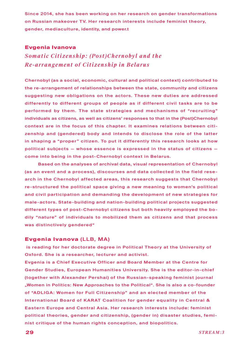Since 2014, she has been working on her research on gender transformations on Russian makeover TV. Her research interests include feminist theory, gender, mediaculture, identity, and power.t

### **Evgenia Ivanova**

*Somatic Citizenship: (Post)Chernobyl and the Re-arrangement of Citizenship in Belarus*

Chernobyl (as a social, economic, cultural and political context) contributed to the re-arrangement of relationships between the state, community and citizens suggesting new obligations on the actors. These new duties are addressed differently to different groups of people as if different civil tasks are to be performed by them. The state strategies and mechanisms of "recruiting" individuals as citizens, as well as citizens' responses to that in the (Post)Chernobyl context are in the focus of this chapter. It examines relations between citizenship and (gendered) body and intends to disclose the role of the latter in shaping a "proper" citizen. To put it differently this research looks at how political subjects — whose essence is expressed in the status of citizens come into being in the post-Chernobyl context in Belarus.

Based on the analyses of archival data, visual representation of Chernobyl (as an event and a process), discourses and data collected in the field research in the Chernobyl affected areas, this research suggests that Chernobyl re-structured the political space giving a new meaning to women's political and civil participation and demanding the development of new strategies for male-actors. State-building and nation-building political projects suggested different types of post-Chernobyl citizens but both heavily employed the bodily "nature" of individuals to mobilized them as citizens and that process was distinctively gendered"

### **Evgenia Ivanova** (LLB, MA)

 is reading for her doctorate degree in Political Theory at the University of Oxford. She is a researcher, lecturer and activist.

Evgenia is a Chief Executive Officer and Board Member at the Centre for Gender Studies, European Humanities University. She is the editor-in-chief (together with Alexander Pershai) of the Russian-speaking feminist journal "Women in Politics: New Approaches to the Political". She is also a co-founder of "ADLIGA: Women for Full Citizenship" and an elected member of the International Board of KARAT Coalition for gender equality in Central & Eastern Europe and Central Asia. Her research interests include: feminist political theories, gender and citizenship, (gender in) disaster studies, feminist critique of the human rights conception, and biopolitics.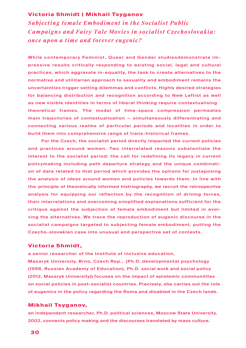## **Victoria Shmidt | Mikhail Tsyganov**

*Subjecting female Emb o diment in the So cialist P ublic Campaigns and Fairy Tale Movies in socialist Czechoslovakia: once upon a time and forever eugenic?*

While contemporary Feminist, Queer and Gender studiesdemonstrate impressive results critically responding to existing social, legal and cultural practices, which aggravate in-equality, the task to create alternatives to the normative and utilitarian approach to sexuality and embodiment remains the uncertainties trigger setting dilemmas and conflicts. Highly desired strategies for balancing distribution and recognition according to New Leftist as well as new visible identities in terms of liberal thinking require contextualising theoretical frames. The model of time-space compression permeates main trajectories of contextualisation — simultaneously differentiating and connecting various realms of particular periods and localities in order to build them into comprehensive range of trans-historical frames.

For the Czech, the socialist period directly impacted the current policies and practices around women. Two interrelated reasons substantiate the interest to the socialist period: the call for redefining its legacy in current policymaking including path departure strategy and the unique combination of data related to that period which provides the options for juxtaposing the analysis of ideas around women and policies towards them. In line with the principle of theoretically informed histriography, we recruit the retrospective analysis for equipping our reflection by the recognition of driving forces, their interrelations and overcoming simplified explanations sufficient for the critique against the subjection of female embodiment but limited in evolving the alternatives. We trace the reproduction of eugenic discourse in the socialist campaigns targeted to subjecting female embodiment, putting the Czecho-slovakian case into unusual and perspective set of contexts.

### **Victoria Shmidt,**

a senior researcher of the Institute of inclusive education,

Masaryk University, Brno, Czech Rep., (Ph.D. developmental psychology (1998, Russian Academy of Education), Ph.D. social work and social policy (2012, Masaryk University)) focuses on the impact of epistemic communitites on social policies in post-socialist countries. Precisely, she carries out the role of eugenics in the policy regarding the Roma and disabled in the Czech lands.

### **Mikhail Tsyganov,**

an independent researcher, Ph.D. political sciences, Moscow State University, 2002, connects policy making and the discourses translated by mass culture.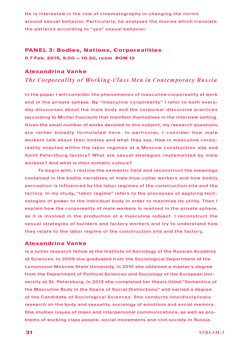He is interested in the role of cinematography in changing the norms around sexual behavior. Particularly, he analyses the movies which translate the patterns according to "yes" sexual behavior.

## **PANEL 3: Bodies, Nations, Corporealities**

**0 7 Feb. 2015, 9.00 — 10.30, room ROM 12**

### **Alexandrina Vanke**

*The Corp oreality of Working-Class Men in Contemp orar y Russia* 

In the paper I will consider the phenomenon of masculine corporeality at work and in the private sphere. By "masculine corporeality" I refer to both everyday discourses about the male body and the corporeal-discursive practices (according to Michel Foucault) that manifest themselves in the interview setting. Given the small number of works devoted to this subject, my research questions are rather broadly formulated here. In particular, I consider how male workers talk about their bodies and what they say. How is masculine corporeality enacted within the labor regimes at a Moscow construction site and Saint Petersburg factory? What are sexual strategies implemented by male workers? And what is their somatic culture?

To begin with, I restore the semantic field and reconstruct the meanings contained in the bodily narratives of male blue-collar workers and how bodily perception is influenced by the labor regimes of the construction site and the factory. In my study, "labor regime" refers to the processes of applying technologies of power to the individual body in order to maximize its utility. Then I explain how the corporeality of male workers is realized in the private sphere, as it is involved in the production of a masculine subject. I reconstruct the sexual strategies of builders and factory workers and try to understand how they relate to the labor regime of the construction site and the factory.

### **Alexandrina Vanke**

is a junior research fellow at the Institute of Sociology of the Russian Academy of Sciences. In 2009 she graduated from the Sociological Department of the Lomonosov Moscow State University, in 2010 she obtained a master's degree from the Department of Political Sciences and Sociology of the European University at St. Petersburg. In 2013 she completed her thesis titled "Semantics of the Masculine Body in the Space of Social Distinctions" and earned a degree of the Candidate of Sociological Sciences. She conducts interdisciplinary research on the body and sexuality, sociology of emotions and social memory. She studies issues of mass and interpersonal communications, as well as problems of working class people, social movements and civil society in Russia.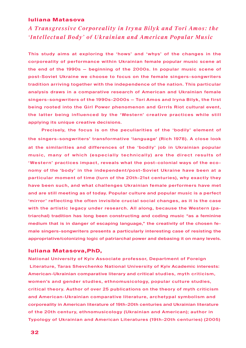### **Iuliana Matasova**

*A Transgressive Corp oreality in Ir yna Bilyk and Tori Amo s: the 'Intellectual Body' of Ukrainian and American Popular Music*

This study aims at exploring the 'hows' and 'whys' of the changes in the corporeality of performance within Ukrainian female popular music scene at the end of the 1990s — beginning of the 2000s. In popular music scene of post-Soviet Ukraine we choose to focus on the female singers-songwriters tradition arriving together with the independence of the nation. This particular analysis draws in a comparative research of American and Ukrainian female singers-songwriters of the 1990s-2000s — Tori Amos and Iryna Bilyk, the first being rooted into the Girl Power phenomenon and Grrrls Riot cultural event, the latter being influenced by the ' Western' creative practices while still applying its unique creative decisions.

Precisely, the focus is on the peculiarities of the 'bodily' element of the singers-songwriters' transformative 'language' (Rich 1978). A close look at the similarities and differences of the 'bodily' job in Ukrainian popular music, many of which (especially technically) are the direct results of 'Western' practices impact, reveals what the post-colonial ways of the economy of the 'body' in the independent/post-Soviet Ukraine have been at a particular moment of time (turn of the 20th-21st centuries), why exactly they have been such, and what challenges Ukrainian female performers have met and are still meeting as of today. Popular culture and popular music is a perfect 'mirror' reflecting the often invisible crucial social changes, as it is the case with the artistic legacy under research. All along, because the Western (patriarchal) tradition has long been constructing and coding music "as a feminine medium that is in danger of escaping language," the creativity of the chosen female singers-songwriters presents a particularly interesting case of resisting the appropriative/colonizing logic of patriarchal power and debasing it on many levels.

### **Iuliana Matasova,PhD,**

National University of Kyiv Associate professor, Department of Foreign Literature, Taras Shevchenko National University of Kyiv Academic interests: American-Ukrainian comparative literary and critical studies, myth criticism, women's and gender studies, ethnomusicology, popular culture studies, critical theory. Author of over 25 publications on the theory of myth criticism and American-Ukrainian comparative literature, archetypal symbolism and corporeality in American literature of 19th-20th centuries and Ukrainian literature of the 20th century, ethnomusicology (Ukrainian and American); author in Typology of Ukrainian and American Literatures (19th-20th centuries) (2005)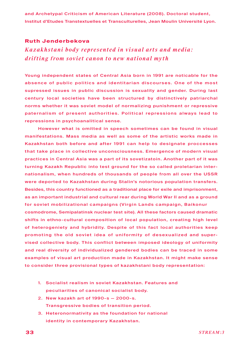and Archetypal Criticism of American Literature (2008). Doctoral student, Institut d'Etudes Transtextuelles et Transculturelles, Jean Moulin Université Lyon.

### **Ruth Jenderbekova**

*Kazakhstani b o dy represented in visual arts and media: drifting from soviet canon to new national myth*

Young independent states of Central Asia born in 1991 are noticable for the absence of public politics and identitarian discourses. One of the most supressed issues in public discussion is sexuality and gender. During last century local societies have been structured by distinctively patriarchal norms whether it was soviet model of normalizing punishment or repressive paternalism of present authorities. Political repressions always lead to repressions in psychoanalitical sense.

However what is omitted in speech sometimes can be found in visual manifestations. Mass media as well as some of the artistic works made in Kazakhstan both before and after 1991 can help to designate proccesses that take place in collective unconsciousness. Emergence of modern visual practices in Central Asia was a part of its sovetizatoin. Another part of it was turning Kazakh Republic into test ground for the so called proletarian internationalism, when hundreds of thousands of people from all over the USSR were deported to Kazakhstan during Stalin's notorious population transfers. Besides, this country functioned as a traditional place for exile and imprisonment, as an important industrial and cultural rear during World War II and as a ground for soviet mobilizational campaigns (Virgin Lands campaign, Baikonur cosmodrome, Semipalatinsk nuclear test site). All these factors caused dramatic shifts in ethno-cultural composition of local population, creating high level of heterogeniety and hybridity. Despite of this fact local authorities keep promoting the old soviet idea of uniformity of desexualized and supervised collective body. This conflict between imposed ideology of uniformity and real diversity of individualized gendered bodies can be traced in some examples of visual art production made in Kazakhstan. It might make sense to consider three provisional types of kazakhstani body representation:

- 1. Socialist realism in soviet Kazakhstan. Features and peculiarities of canonical socialist body.
- 2. New kazakh art of 1990-s 2000-s. Transgressive bodies of transition period.
- 3. Heteronormativity as the foundation for national identity in contemporary Kazakhstan.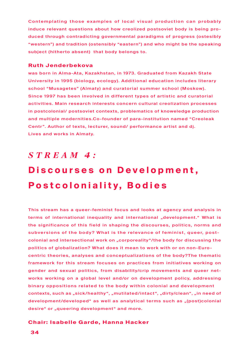Contemplating those examples of local visual production can probably induce relevant questions about how creolized postsoviet body is being produced through contradicting governmental paradigms of progress (ostesibly "western") and tradition (ostensibly "eastern") and who might be the speaking subject (hitherto absent) that body belongs to.

### **Ruth Jenderbekova**

was born in Alma-Ata, Kazakhstan, in 1973. Graduated from Kazakh State University in 1995 (biology, ecology). Additional education includes literary school "Musagetes" (Almaty) and curatorial summer school (Moskow). Since 1997 has been involved in different types of artistic and curatorial activities. Main research interests concern cultural creolization processes in postcolonial/ postsoviet contexts, problematics of knoweledge production and multiple modernities.Co-founder of para-institution named "Creoleak Centr". Author of texts, lecturer, sound/ performance artist and dj. Lives and works in Almaty.

## *S t r e a m 4 :*

# **Discourses on Development, Postcoloniality, Bodies**

This stream has a queer-feminist focus and looks at agency and analysis in terms of international inequality and international "development." What is the significance of this field in shaping the discourses, politics, norms and subversions of the body? What is the relevance of feminist, queer, postcolonial and intersectional work on "corporeality"/the body for discussing the politics of globalization? What does it mean to work with or on non-Eurocentric theories, analyses and conceptualizations of the body?The thematic framework for this stream focuses on practices from initiatives working on gender and sexual politics, from disability/crip movements and queer networks working on a global level and/or on development policy, addressing binary oppositions related to the body within colonial and development contexts, such as "sick/healthy", "mutilated/intact", "dirty/clean", "in need of development/developed" as well as analytical terms such as "(post)colonial desire" or "queering development" and more.

### **Chair: Isabelle Garde, Hanna Hacker**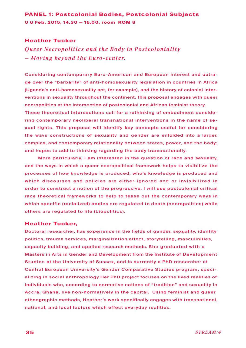## **PANEL 1: Postcolonial Bodies, Postcolonial Subjects 0 6 Feb. 2015, 14.30 — 16.00, room ROM 8**

### **Heather Tucker**

*Queer Necrop olitics and the B o dy in Po stcoloniality — Moving b eyond the Euro - center.*

Considering contemporary Euro-American and European interest and outrage over the "barbarity" of anti-homosexuality legislation in countries in Africa (Uganda's anti-homosexuality act, for example), and the history of colonial interventions in sexuality throughout the continent, this proposal engages with queer necropolitics at the intersection of postcolonial and African feminist theory.

These theoretical intersections call for a rethinking of embodiment considering contemporary neoliberal transnational interventions in the name of sexual rights. This proposal will identify key concepts useful for considering the ways constructions of sexuality and gender are enfolded into a larger, complex, and contemporary relationality between states, power, and the body; and hopes to add to thinking regarding the body transnationally.

More particularly, I am interested in the question of race and sexuality, and the ways in which a queer necropolitical framework helps to visibilize the processes of how knowledge is produced, who's knowledge is produced and which discourses and policies are either ignored and or invisibilized in order to construct a notion of the progressive. I will use postcolonial critical race theoretical frameworks to help to tease out the contemporary ways in which specific (racialized) bodies are regulated to death (necropolitics) while others are regulated to life (biopolitics).

### **Heather Tucker,**

Doctoral researcher, has experience in the fields of gender, sexuality, identity politics, trauma services, marginalization,affect, storytelling, masculinities, capacity building, and applied research methods. She graduated with a Masters in Arts in Gender and Development from the Institute of Development Studies at the University of Sussex, and is currently a PhD researcher at Central European University's Gender Comparative Studies program, specializing in social anthropology.Her PhD project focuses on the lived realities of individuals who, according to normative notions of "tradition" and sexuality in Accra, Ghana, live non-normatively in the capital. Using feminist and queer ethnographic methods, Heather's work specifically engages with transnational, national, and local factors which effect everyday realities.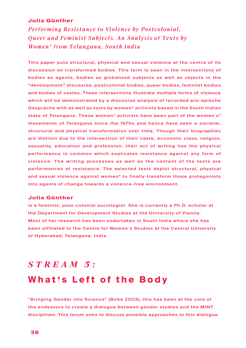### **Julia Günther**

*Performing Resistance to Violence by Postcolonial, Queer and Feminist Subjects. An Analysis of Texts by Women\* from Telangana, South India*

This paper puts structural, physical and sexual violence at the centre of its discussion on transformed bodies. This term is seen in the intersections of bodies as agents, bodies as globalised subjects as well as objects in the "development" discourse, postcolonial bodies, queer bodies, feminist bodies and bodies of castes. These intersections illustrate multiple forms of violence which will be demonstrated by a discourse analysis of recorded ero-epische Gespräche with as well as texts by women\* activists based in the South Indian state of Telangana. These women\* activists have been part of the women´s\* movements of Telangana since the 1970s and hence have seen a societal, structural and physical transformation over time. Though their biographies are distinct due to the intersection of their caste, economic class, religion, sexuality, education and profession, their act of writing has the physical performance in common which explicates resistance against any form of violence. The writing processes as well as the content of the texts are performances of resistance. The selected texts depict structural, physical and sexual violence against women\* to finally transform those protagonists into agents of change towards a violence-free environment.

### **Julia Günther**

is a feminist, post-colonial sociologist. She is currently a Ph.D. scholar at the Department for Development Studies at the University of Vienna. Most of her research has been undertaken in South India where she has been affiliated to the Centre for Women´s Studies at the Central University of Hyderabad, Telangana, India.

# *S t r e a m 5 :*  **What's Left of the Body**

"Bringing Gender into Science" (Birke 2003), this has been at the core of the endeavors to create a dialogue between gender studies and the MINT disciplines. This forum aims to discuss possible approaches to this dialogue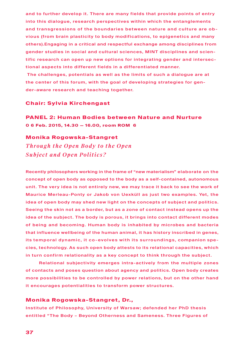and to further develop it. There are many fields that provide points of entry into this dialogue, research perspectives within which the entanglements and transgressions of the boundaries between nature and culture are obvious (from brain plasticity to body modifications, to epigenetics and many others).Engaging in a critical and respectful exchange among disciplines from gender studies in social and cultural sciences, MINT disciplines and scientific research can open up new options for integrating gender and intersectional aspects into different fields in a differentiated manner.

 The challenges, potentials as well as the limits of such a dialogue are at the center of this forum, with the goal of developing strategies for gender-aware research and teaching together.

### **Chair: Sylvia Kirchengast**

**PANEL 2: Human Bodies between Nature and Nurture 0 6 Feb. 2015, 14.30 — 16.00, room ROM 6** 

### **Monika Rogowska-Stangret**

*Through the Open Body to the Open Subject and Open Politics?*

Recently philosophers working in the frame of "new materialism" elaborate on the concept of open body as opposed to the body as a self-contained, autonomous unit. The very idea is not entirely new, we may trace it back to see the work of Maurice Merleau-Ponty or Jakob von Uexküll as just two examples. Yet, the idea of open body may shed new light on the concepts of subject and politics. Seeing the skin not as a border, but as a zone of contact instead opens up the idea of the subject. The body is porous, it brings into contact different modes of being and becoming. Human body is inhabited by microbes and bacteria that influence wellbeing of the human animal, it has history inscribed in genes, its temporal dynamic, it co-evolves with its surroundings, companion species, technology. As such open body attests to its relational capacities, which in turn confirm relationality as a key concept to think through the subject.

Relational subjectivity emerges intra-actively from the multiple zones of contacts and poses question about agency and politics. Open body creates more possibilities to be controlled by power relations, but on the other hand it encourages potentialities to transform power structures.

### **Monika Rogowska-Stangret, Dr.,**

Institute of Philosophy, University of Warsaw; defended her PhD thesis entitled "The Body – Beyond Otherness and Sameness. Three Figures of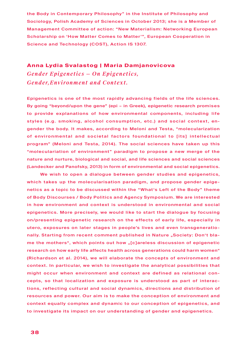the Body in Contemporary Philosophy" in the Institute of Philosophy and Sociology, Polish Academy of Sciences in October 2013; she is a Member of Management Committee of action: "New Materialism: Networking European Scholarship on 'How Matter Comes to Matter'", European Cooperation in Science and Technology (COST), Action IS 1307.

### **Anna Lydia Svalastog | Maria Damjanovicova**

*Gender Epigenetics — On Epigenetics, Gender, Environment and Context.* 

Epigenetics is one of the most rapidly advancing fields of the life sciences. By going "beyond/upon the gene" (epi – in Greek), epigenetic research promises to provide explanations of how environmental components, including life styles (e.g. smoking, alcohol consumption, etc.) and social context, engender the body. It makes, according to Meloni and Testa, "molecularization of environmental and societal factors foundational to [its] intellectual program" (Meloni and Testa, 2014). The social sciences have taken up this "moleculariation of environment" paradigm to propose a new merge of the nature and nurture, biological and social, and life sciences and social sciences (Landecker and Panofsky, 2013) in form of environmental and social epigenetics.

We wish to open a dialogue between gender studies and epigenetics, which takes up the molecularisation paradigm, and propose gender epigenetics as a topic to be discussed within the "What's Left of the Body" theme of Body Discourses / Body Politics and Agency Symposium. We are interested in how environment and context is understood in environmental and social epigenetics. More precisely, we would like to start the dialogue by focusing on/presenting epigenetic research on the effects of early life, especially in utero, exposures on later stages in people's lives and even transgenerationally. Starting from recent comment published in Nature "Society: Don't blame the mothers", which points out how "[c]areless discussion of epigenetic research on how early life affects health across generations could harm women" (Richardson et al. 2014), we will elaborate the concepts of environment and context. In particular, we wish to investigate the analytical possibilities that might occur when environment and context are defined as relational concepts, so that localization and exposure is understood as part of interactions, reflecting cultural and social dynamics, directions and distribution of resources and power. Our aim is to make the conception of environment and context equally complex and dynamic to our conception of epigenetics, and to investigate its impact on our understanding of gender and epigenetics.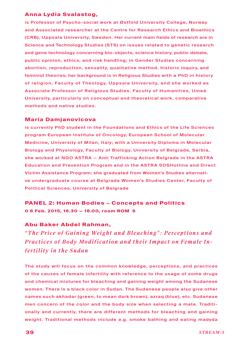### **Anna Lydia Svalastog,**

is Professor of Psycho-social work at Østfold University College, Norway and Associated researcher at the Centre for Research Ethics and Bioethics (CRB), Uppsala University, Sweden. Her current main fields of research are in Science and Technology Studies (STS) on issues related to genetic research and gene technology concerning bio-objects, science history, public debate, public opinion, ethics, and risk handling; in Gender Studies concerning abortion, reproduction, sexuality, qualitative method, historic inquiry, and feminist theories; her background is in Religious Studies with a PhD in history of religion, Faculty of Theology, Uppsala University, and she worked as Associate Professor of Religious Studies, Faculty of Humanities, Umeå University, particularly on conceptual and theoretical work, comparative methods and native studies.

### **Maria Damjanovicova**

is currently PhD student in the Foundations and Ethics of the Life Sciences program European Institute of Oncology, European School of Molecular Medicine, University of Milan, Italy; with a University Diploma in Molecular Biology and Physiology, Faculty of Biology, University of Belgrade, Serbia, she worked at NGO ASTRA — Anti Trafficking Action Belgrade in the ASTRA Education and Prevention Program and in the ASTRA SOSHotline and Direct Victim Assistance Program; she graduated from Women's Studies alternative undergraduate course at Belgrade Women's Studies Center, Faculty of Political Sciences, University of Belgrade

**PANEL 2: Human Bodies — Concepts and Politics 0 6 Feb. 2015, 16.30 — 18.00, room ROM 6** 

### **Abu Baker Abdel Rahman,**

*"The Price of Gaining Weight and Bleaching": Percep tions and Practices of Body Modification and their Impact on Female Infertility in the Sudan* 

The study will focus on the common knowledge, perceptions, and practices of the causes of female infertility with reference to the usage of some drugs and chemical mixtures for bleaching and gaining weight among the Sudanese women. There is a black color in Sudan. The Sudanese people also give other names such akhadar (green, to mean dark brown), azraq (blue), etc. Sudanese men concern of the color and the body size when selecting a mate. Traditionally and currently, there are different methods for bleaching and gaining weight. Traditional methods include e.g. smoke bathing and eating madyda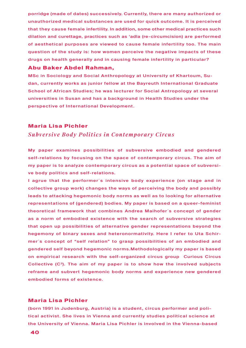porridge (made of dates) successively. Currently, there are many authorized or unauthorized medical substances are used for quick outcome. It is perceived that they cause female infertility. In addition, some other medical practices such dilation and curettage, practices such as 'adla (re-circumcision) are performed of aesthetical purposes are viewed to cause female infertility too. The main question of the study is: how women perceive the negative impacts of these drugs on health generally and in causing female infertility in particular?

### **Abu Baker Abdel Rahman,**

MSc in Sociology and Social Anthropology at University of Khartoum, Sudan, currently works as junior fellow at the Bayreuth International Graduate School of African Studies; he was lecturer for Social Antropology at several universities in Susan and has a background in Health Studies under the perspective of International Development.

### **Maria Lisa Pichler**

### *Subversive Body Politics in Contemporary Circus*

My paper examines possibilities of subversive embodied and gendered self-relations by focusing on the space of contemporary circus. The aim of my paper is to analyze contemporary circus as a potential space of subversive body politics and self-relations.

I agrue that the performer´s intensive body experience (on stage and in collective group work) changes the ways of perceiving the body and possibly leads to attacking hegemonic body norms as well as to looking for alternative representations of (gendered) bodies. My paper is based on a queer-feminist theoretical framework that combines Andrea Maihofer´s concept of gender as a norm of embodied existence with the search of subversive strategies that open up possibilities of alternative gender representations beyond the hegemony of binary sexes and heteronormativity. Here I refer to Uta Schirmer´s concept of "self relation" to grasp possibilities of an embodied and gendered self beyond hegemonic norms.Methodologically my paper is based on empirical research with the self-organized circus group Curious Circus Collective  $(C<sup>3</sup>)$ . The aim of my paper is to show how the involved subjects reframe and subvert hegemonic body norms and experience new gendered embodied forms of existence.

### **Maria Lisa Pichler**

(born 1991 in Judenburg, Austria) is a student, circus performer and political activist. She lives in Vienna and currently studies political science at the University of Vienna. Maria Lisa Pichler is involved in the Vienna-based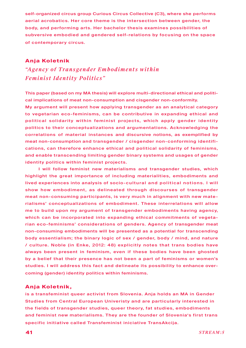self-organized circus group Curious Circus Collective (C3), where she performs aerial acrobatics. Her core theme is the intersection between gender, the body, and performing arts. Her bachelor thesis examines possibilities of subversive embodied and gendered self-relations by focusing on the space of contemporary circus.

### **Anja Koletnik**

*"Agency of Transgender Emb o diments within Feminist Identity Politics"*

This paper (based on my MA thesis) will explore multi-directional ethical and political implications of meat non-consumption and cisgender non-conformity.

My argument will present how applying transgender as an analytical category to vegetarian eco-feminisms, can be contributive in expanding ethical and political solidarity within feminist projects, which apply gender identity politics to their conceptualizations and argumentations. Acknowledging the correlations of material instances and discursive notions, as exemplified by meat non-consumption and transgender / cisgender non-conforming identifications, can therefore enhance ethical and political solidarity of feminisms, and enable transcending limiting gender binary systems and usages of gender identity politics within feminist projects.

I will follow feminist new materialisms and transgender studies, which highlight the great importance of including materialities, embodiments and lived experiences into analysis of socio-cultural and political notions. I will show how embodiment, as delineated through discourses of transgender meat non-consuming participants, is very much in alignment with new materialisms' conceptualizations of embodiment. These interrelations will allow me to build upon my argument of transgender embodiments having agency, which can be incorporated into expanding ethical commitments of vegetarian eco-feminisms' considerations of genders. Agency of transgender meat non-consuming embodiments will be presented as a potential for transcending body essentialism; the binary logic of sex / gender, body / mind, and nature / culture. Noble (in Enke, 2012: 48) explicitly notes that trans bodies have always been present in feminism, even if these bodies have been ghosted by a belief that their presence has not been a part of feminisms or women's studies. I will address this fact and delineate its possibility to enhance overcoming (gender) identity politics within feminisms.

### **Anja Koletnik,**

is a transfeminist queer activist from Slovenia. Anja holds an MA in Gender Studies from Central European Univeristy and are particularly interested in the fields of transgender studies, queer theory, fat studies, embodiments and feminist new materialisms. They are the founder of Slovenia's first trans specific initiative called Transfeminist iniciative TransAkcija.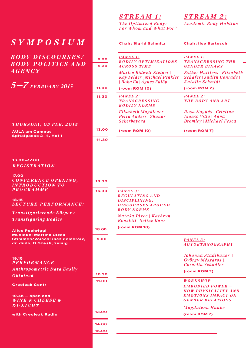*Sympo s ium*

 **9.00** *B o dy D i s c our s e s /*  **9.30** *B o dy P olitic s and Agency*

**(room ROM 10)** *5—7 February 2015*

### *T hur s d ay, 0 5 F e b . 2 0 1 5*

**AULA am Campus Spitalgasse 2—4, Hof 1**

**16.00—17.00**  *R egi s tration*

 **16.00** *C o n f erence O pening,* **17.00**  *I ntroduction to programme*

**18.15** *L ecture- P e r f ormance:*

*Transfigurierende Körper / Transfiguring Bodies*

 **9.00 Stimmen/Voices: ines delacroix, Alice Pechriggl Musique: Martina Cizek dr. dudo, D.Gzesh, zeisig**

**19.15**   $P$  *<i>e <i>f***</del>** *f**o**RMANCE Anthropometric Data Ea s i l y Obtained*

**Creoleak Centr**

**19.45 — open end** *Win E & C hee s e* **@** *D j-night*

**with Creoleak Radio**

## *Stream 1:*

*The Optimized Body: For Whom and What For?* *Stream 2: Academic Body Habitus*

| $\overline{\bm{U}}\,\overline{\bm{M}}$ |              | <b>Chair: Sigrid Schmitz</b>                                                             | <b>Chair: Ilse Bartosch</b>                                                                                   |
|----------------------------------------|--------------|------------------------------------------------------------------------------------------|---------------------------------------------------------------------------------------------------------------|
| $\overline{S}\overline{E}S/$<br>s and  | 9.00<br>9.30 | PANEL 1:<br><b>BODILY OPTIMIZATIONS</b><br><b>ACROSS TIME</b>                            | <b>PANEL 1:</b><br><b>TRANSGRESSING THE</b><br><b>GENDER BINARY</b>                                           |
|                                        |              | <b>Marlen Bidwell-Steiner</b><br>Kay Felder   Michael Penkler<br>  Boka En   Ágnes Fülöp | <b>Esther Hutfless</b>   Elisabeth<br>Schäfer   Judith Conrads  <br>Katalin Schmidt                           |
| )15                                    | 11.00        | (room ROM 10)                                                                            | (room ROM 7)                                                                                                  |
|                                        | 11.30        | <b>PANEL 2:</b><br><b>TRANSGRESSING</b><br><b>BODILY NORMS</b>                           | <b>PANEL 2:</b><br><b>THE BODY AND ART</b>                                                                    |
| 2015                                   |              | Elisabeth Magdlener  <br>Petra Anders   Zhanar<br><b>Sekerbayeva</b>                     | Rosa Nogués   Cristina<br>Alonso Villa   Anna<br><b>Bromley   Michael Fesca</b>                               |
|                                        | 13.00        | (room ROM 10)                                                                            | (room ROM 7)                                                                                                  |
|                                        | 14.30        |                                                                                          |                                                                                                               |
|                                        |              |                                                                                          |                                                                                                               |
|                                        |              |                                                                                          |                                                                                                               |
| ING,                                   | 16.00        |                                                                                          |                                                                                                               |
|                                        | 16.30        | PANEL 3:<br><b>REGULATING AND</b>                                                        |                                                                                                               |
| <i><b>IANCE:</b></i>                   |              | DISCIPLINING:<br><b>DISCOURSES AROUND</b>                                                |                                                                                                               |
| 1 er                                   |              | <b>BODY NORMS</b><br>Nataša Pivec   Kathryn<br><b>Bouskill</b>   Seline Kunz             |                                                                                                               |
|                                        | 18.00        | (room ROM 10)                                                                            |                                                                                                               |
| elacroix,<br>g                         | 9.00         |                                                                                          | PANEL 3:<br><b>AUTOETHNOGRAPHY</b>                                                                            |
|                                        |              |                                                                                          | Johanna Stadlbauer  <br>György Mészáros  <br>Cornelia Schadler                                                |
| asily                                  | 10.30        |                                                                                          | (room ROM 7)                                                                                                  |
|                                        | 11.00        |                                                                                          | <b>WORKSHOP</b>                                                                                               |
|                                        |              |                                                                                          | <b>EMBODIED POWER -</b><br><b>HOW PHYSICALITY AND</b><br><b>EMOTIONS IMPACT ON</b><br><b>GENDER RELATIONS</b> |
|                                        | 13.00        |                                                                                          | Magdalena Hanke                                                                                               |
|                                        |              |                                                                                          | (room ROM 7)                                                                                                  |
|                                        | 14.00        |                                                                                          |                                                                                                               |
|                                        | 15.00        |                                                                                          |                                                                                                               |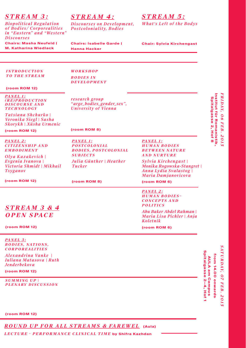## *Stream 3:*

*Biopolitical Regulation of Bodies/ Corporealities in "Eastern" and "Western" Discourses* **Chairs: Masha Neufeld | M. Katharina Wiedlack** 

## *Stream 4:*

**Chairs: Isabelle Garde | Hanna Hacker**

*Discourses on Development, Po stcoloniality, B o dies*

## *Stream 5:*

*What's Left of the Bodys*

**Chair: Sylvia Kirchengast**

*WOR K S HOP B odie s i n*   $DEVELOPMENT$ 

### **(room ROM 12)**

*I ntroduction t o the Stream*

*Panel 1: ( R e)production D i s c our s e and technology*

*research group "arge\_bodies\_gender\_sex", University of Vienna*

*Tatsiana Shchurko | Veronika Siegl | Sasha Skorykh | Xüsha Urmenic*

#### **(room ROM 8)**

*Panel 2: C itizen s h i p a n d*   $EMBODIMENT$ 

**(room ROM 12)**

*Olya Kazakevich | Evgenia Ivanova | Victoria Shmidt | Mikhail Tsyganov*

*Stream 3 & 4 O p e n S pac e*

**(room ROM 12)**

**(room ROM 12)**

*Panel 1: P o s t colonial B odie s, P o s t c o l o n i a l Subject s Julia Günther | Heather Tucker*

**(room ROM 8)**

*Panel 1: H uman bodie s bet w een nature and nurture*

*Sylvia Kirchengast | Monika Rogowska-Stangret | Anna Lydia Svalastog | Maria Damjanovicova*

### **(room ROM 6)**

*Panel 2:*

*H uman bodie s – c oncept s and politic s*

*Abu Baker Abdel Rahman | Maria Lisa Pichler | Anja Koletnik*

**(room ROM 6)**

*Panel 3: B odie s, N ation s, C orp orealitie s*

Exhibition, Panels, Workshops, Performances *Iuliana Matasova | Ruth Alexandrina Vanke | Jenderbekova* **(room ROM 12)**

*Summing U p | P lenary D i s c u ss ion* Spitalgasse 2-4, Hof 1 from 14.00 onwards **from 14.00 onwards** AULA am Campus **AULA am Campus**

**Spitalgasse 2—4, Hof 1**

**(room ROM 12)**

 *R o und U p f or all S tream s & FareWel* **(Aula)**

 *LECTURE - P e r f ormance C linical T ime* **by Shifra Kazhdan** 

Institut für Romanistik<br>Spitalgasse 2, Hof 8 *F r***Institut für Romanistik, Spitalgasse 2, Hof 8**  *i d ay, 0 6 F e b. 2015* 2015

> *at <u><i>и и и*, *0*<sup>*7*</sup></u> *<i>FE***</del><b>***B*. *2015*

*s*